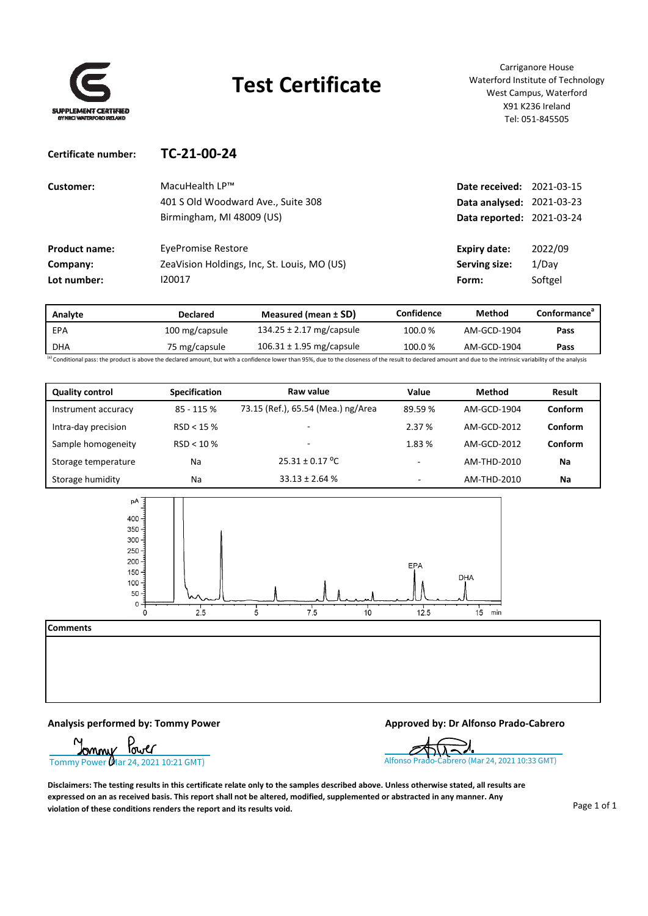

## **Test Certificate**

Carriganore House Waterford Institute of Technology West Campus, Waterford X91 K236 Ireland Tel: 051‐845505

| TC-21-00-24                                 |                     |                                                                                            |
|---------------------------------------------|---------------------|--------------------------------------------------------------------------------------------|
| MacuHealth LP™                              |                     |                                                                                            |
| 401 S Old Woodward Ave., Suite 308          |                     |                                                                                            |
| Birmingham, MI 48009 (US)                   |                     |                                                                                            |
| <b>EvePromise Restore</b>                   | <b>Expiry date:</b> | 2022/09                                                                                    |
| ZeaVision Holdings, Inc, St. Louis, MO (US) | Serving size:       | 1/Dav                                                                                      |
| 120017                                      | Form:               | Softgel                                                                                    |
|                                             |                     | <b>Date received: 2021-03-15</b><br>Data analysed: 2021-03-23<br>Data reported: 2021-03-24 |

| Analyte | <b>Declared</b> | Measured (mean $\pm$ SD)                                                                                             | Confidence | Method      | Conformance <sup>®</sup> |
|---------|-----------------|----------------------------------------------------------------------------------------------------------------------|------------|-------------|--------------------------|
| EPA     | 100 mg/capsule  | 134.25 $\pm$ 2.17 mg/capsule                                                                                         | 100.0%     | AM-GCD-1904 | Pass                     |
| DHA     | 75 mg/capsule   | 106.31 $\pm$ 1.95 mg/capsule                                                                                         | 100.0%     | AM-GCD-1904 | Pass                     |
|         |                 | Go and interest and interest and the contract of the contract of the contract of the contract of the contract of the |            |             |                          |

lence lower than 95%, due to the closeness of the result to declared amount and due to the intrinsic varia

| <b>Quality control</b> | <b>Specification</b> | Raw value                          | Value                    | <b>Method</b> | Result  |
|------------------------|----------------------|------------------------------------|--------------------------|---------------|---------|
| Instrument accuracy    | 85 - 115 %           | 73.15 (Ref.), 65.54 (Mea.) ng/Area | 89.59%                   | AM-GCD-1904   | Conform |
| Intra-day precision    | RSD < 15%            | -                                  | 2.37 %                   | AM-GCD-2012   | Conform |
| Sample homogeneity     | RSD < 10%            | -                                  | 1.83 %                   | AM-GCD-2012   | Conform |
| Storage temperature    | Na                   | $25.31 \pm 0.17$ °C                | $\overline{\phantom{0}}$ | AM-THD-2010   | Na      |
| Storage humidity       | Na                   | $33.13 \pm 2.64$ %                 | $\overline{\phantom{a}}$ | AM-THD-2010   | Na      |



**Comments**

**Analysis performed by: Tommy Power Approved by: Dr Alfonso Prado‐Cabrero**



Disclaimers: The testing results in this certificate relate only to the samples described above. Unless otherwise stated, all results are expressed on an as received basis. This report shall not be altered, modified, supplemented or abstracted in any manner. Any **violation of these conditions renders the report and its results void.**

Page 1 of 1